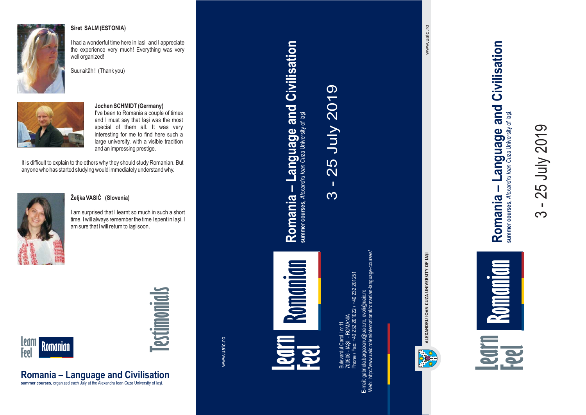

#### **Siret SALM (ESTONIA)**

I had <sup>a</sup> wonderful time here in Iasi and I appreciate the experience very much! Everything was very well organized!





#### **Jochen SCHMIDT (Germany)**

I've been to Romania <sup>a</sup> couple of times and I must say that Iaşi was the most special of them all. It was very interesting for me to find here such <sup>a</sup> large university, with <sup>a</sup> visible tradition and an impressing prestige.

It is difficult to explain to the others why they should study Romanian. But anyone who has started studying would immediately understand why.



#### **Željka VASIĊ (Slovenia)**

**Romania – Language and Civilisation summer courses,** organized each July at the Alexandru Ioan Cuza University of Iaşi.

I am surprised that I learnt so much in such <sup>a</sup> short time. I will always remember the time I spent in Iaşi. I am sure that I will return to Iaşi soon.



# **Testimonials**

www.uaic.ro

## **Learn Feel Feel**<br>Presentation of the second contract of the second contract of the second contract of the second contract of the second contract of the second contract of the second contract of the second contract of the second cont **Romanian**

**Romania – Language and Civilisation**

Romania - Language and Civilisation

summer courses, Alexandru Ioan Cuza University of laşi

 $\infty$ 

 $\mathbf{I}$ 

3 - 25 July 2019

25 July 2019

Bulevardul Carol I nr. 11 Phone / Fax: +40 232 201022 / +40 232 201251  $\equiv$ - IAŞI - ROMANIA 232 201022 700506

E-mail: gabriela.bargaoanu@uaic.ro, evoli@uaic.ro Web: http://www.uaic.ro/en/international/romanian-language-courses/



www.uaic.ro www.uaic.ro

> summer courses, Alexandru loan Cuza University of lasi. summer courses, Alexandru Ioan Cuza University of Iaşi.

 $\infty$ 

 $\mathbf{L}$ 

3 - 25 July 2019

25 July 2019

**Romania – Language and Civilisation**

Romania -

Language and Civilisation